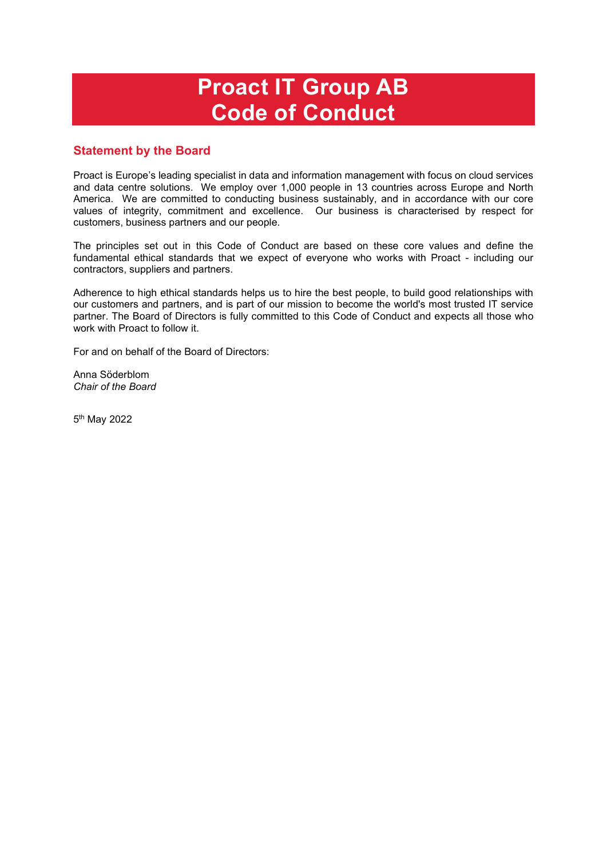# **Proact IT Group AB Code of Conduct**

# **Statement by the Board**

Proact is Europe's leading specialist in data and information management with focus on cloud services and data centre solutions. We employ over 1,000 people in 13 countries across Europe and North America. We are committed to conducting business sustainably, and in accordance with our core values of integrity, commitment and excellence. Our business is characterised by respect for customers, business partners and our people.

The principles set out in this Code of Conduct are based on these core values and define the fundamental ethical standards that we expect of everyone who works with Proact - including our contractors, suppliers and partners.

Adherence to high ethical standards helps us to hire the best people, to build good relationships with our customers and partners, and is part of our mission to become the world's most trusted IT service partner. The Board of Directors is fully committed to this Code of Conduct and expects all those who work with Proact to follow it.

For and on behalf of the Board of Directors:

Anna Söderblom *Chair of the Board* 

5th May 2022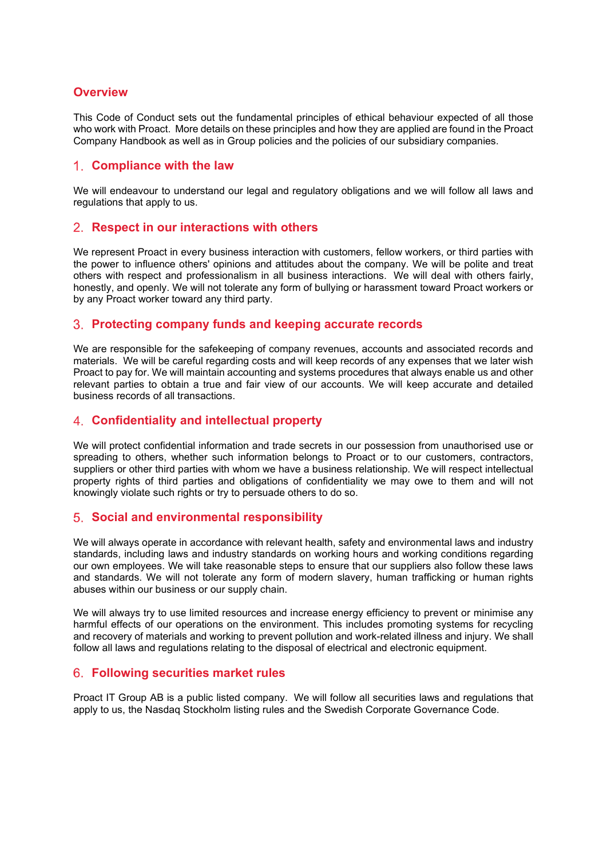# **Overview**

This Code of Conduct sets out the fundamental principles of ethical behaviour expected of all those who work with Proact. More details on these principles and how they are applied are found in the Proact Company Handbook as well as in Group policies and the policies of our subsidiary companies.

# **Compliance with the law**

We will endeavour to understand our legal and regulatory obligations and we will follow all laws and regulations that apply to us.

#### **Respect in our interactions with others**

We represent Proact in every business interaction with customers, fellow workers, or third parties with the power to influence others' opinions and attitudes about the company. We will be polite and treat others with respect and professionalism in all business interactions. We will deal with others fairly, honestly, and openly. We will not tolerate any form of bullying or harassment toward Proact workers or by any Proact worker toward any third party.

#### **Protecting company funds and keeping accurate records**

We are responsible for the safekeeping of company revenues, accounts and associated records and materials. We will be careful regarding costs and will keep records of any expenses that we later wish Proact to pay for. We will maintain accounting and systems procedures that always enable us and other relevant parties to obtain a true and fair view of our accounts. We will keep accurate and detailed business records of all transactions.

## **Confidentiality and intellectual property**

We will protect confidential information and trade secrets in our possession from unauthorised use or spreading to others, whether such information belongs to Proact or to our customers, contractors, suppliers or other third parties with whom we have a business relationship. We will respect intellectual property rights of third parties and obligations of confidentiality we may owe to them and will not knowingly violate such rights or try to persuade others to do so.

#### **Social and environmental responsibility**

We will always operate in accordance with relevant health, safety and environmental laws and industry standards, including laws and industry standards on working hours and working conditions regarding our own employees. We will take reasonable steps to ensure that our suppliers also follow these laws and standards. We will not tolerate any form of modern slavery, human trafficking or human rights abuses within our business or our supply chain.

We will always try to use limited resources and increase energy efficiency to prevent or minimise any harmful effects of our operations on the environment. This includes promoting systems for recycling and recovery of materials and working to prevent pollution and work-related illness and injury. We shall follow all laws and regulations relating to the disposal of electrical and electronic equipment.

#### **Following securities market rules**

Proact IT Group AB is a public listed company. We will follow all securities laws and regulations that apply to us, the Nasdaq Stockholm listing rules and the Swedish Corporate Governance Code.